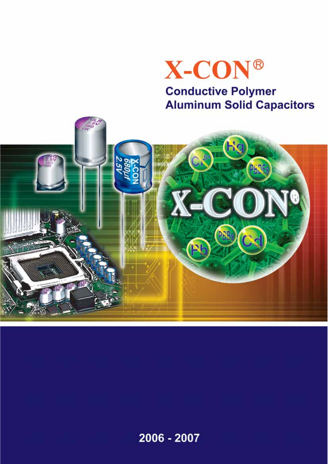

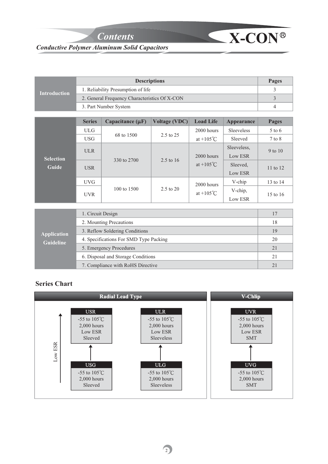*Contents*

7. Compliance with RoHS Directive

# *Conductive Polymer Aluminum Solid Capacitors*

|                                  |                                               | Pages                                  |                      |                     |                   |                |
|----------------------------------|-----------------------------------------------|----------------------------------------|----------------------|---------------------|-------------------|----------------|
| <b>Introduction</b>              |                                               | 1. Reliability Presumption of life     |                      |                     |                   | 3              |
|                                  | 2. General Frequency Characteristics Of X-CON |                                        | 3                    |                     |                   |                |
|                                  |                                               | 3. Part Number System                  |                      |                     |                   | $\overline{4}$ |
|                                  |                                               |                                        |                      |                     |                   |                |
|                                  | <b>Series</b>                                 | Capacitance $(\mu F)$                  | <b>Voltage (VDC)</b> | <b>Load Life</b>    | <b>Appearance</b> | <b>Pages</b>   |
|                                  | <b>ULG</b>                                    | 68 to 1500                             |                      | $2000$ hours        | <b>Sleeveless</b> | $5$ to 6       |
|                                  | <b>USG</b>                                    |                                        | 2.5 to 25            | at $+105^{\circ}$ C | Sleeved           | $7$ to $8$     |
| <b>Selection</b><br><b>Guide</b> | <b>ULR</b>                                    |                                        |                      |                     | Sleeveless,       | 9 to 10        |
|                                  |                                               | 330 to 2700                            | $2.5$ to 16          | $2000$ hours        | Low ESR           |                |
|                                  | <b>USR</b>                                    |                                        |                      | at $+105^{\circ}$ C | Sleeved.          | 11 to 12       |
|                                  |                                               |                                        |                      |                     | Low ESR           |                |
|                                  | <b>UVG</b>                                    |                                        |                      | 2000 hours          | V-chip            | 13 to 14       |
|                                  |                                               | 100 to 1500                            | $2.5 \text{ to } 20$ | at $+105^{\circ}$ C | V-chip,           |                |
|                                  | <b>UVR</b>                                    |                                        |                      |                     | Low ESR           | 15 to 16       |
|                                  |                                               |                                        |                      |                     |                   |                |
|                                  | 1. Circuit Design                             |                                        |                      |                     |                   | 17             |
|                                  |                                               | 2. Mounting Precautions                |                      |                     |                   | 18             |
| <b>Application</b>               |                                               | 3. Reflow Soldering Conditions         |                      |                     |                   | 19             |
| <b>Guideline</b>                 |                                               | 4. Specifications For SMD Type Packing |                      |                     |                   | 20             |
|                                  |                                               | 5. Emergency Procedures                |                      |                     |                   | 21             |
|                                  |                                               | 6. Disposal and Storage Conditions     |                      |                     |                   | 21             |

 $\mathbf{\leq}$  **X-CON**®

21

#### **Series Chart**

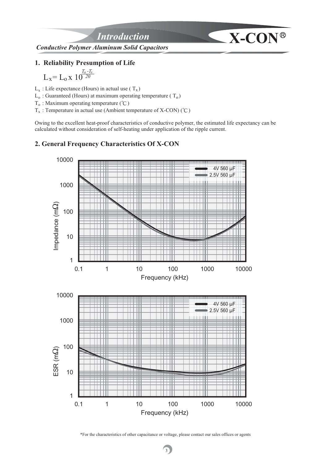

#### **1. Reliability Presumption of Life**

 $T_0 - T_1$  $L_x = L_0 x 10^{-20}$ *o x*

 $L_x$ : Life expectance (Hours) in actual use (T<sub>x</sub>)

 $L_0$ : Guaranteed (Hours) at maximum operating temperature ( $T_0$ )

 $T_0$ : Maximum operating temperature (°C)

 $T_x$ : Temperature in actual use (Ambient temperature of X-CON) (°C)

Owing to the excellent heat-proof characteristics of conductive polymer, the estimated life expectancy can be calculated without consideration of self-heating under application of the ripple current.

## **2. General Frequency Characteristics Of X-CON**



\*For the characteristics of other capacitance or voltage, please contact our sales offices or agents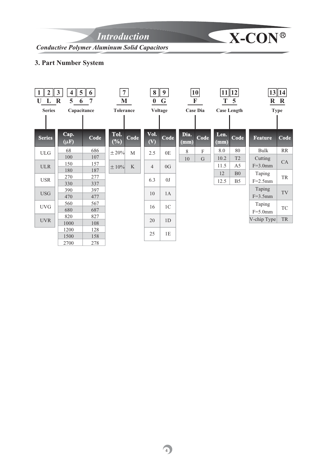*Introduction* **X-CON**<sup>®</sup>

*Conductive Polymer Aluminum Solid Capacitors*

## **3. Part Number System**

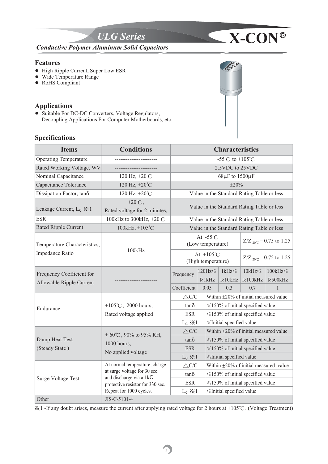

#### **Features**

- High Ripple Current, Super Low ESR
- Wide Temperature Range
- RoHS Compliant

#### **Applications**

 $\bullet$  Suitable For DC-DC Converters, Voltage Regulators, Decoupling Applications For Computer Motherboards, etc.

### **Specifications**

| <b>Items</b>                                          | <b>Conditions</b>                                              |                                            |                                         | <b>Characteristics</b>                      |                                            |                                             |  |
|-------------------------------------------------------|----------------------------------------------------------------|--------------------------------------------|-----------------------------------------|---------------------------------------------|--------------------------------------------|---------------------------------------------|--|
| <b>Operating Temperature</b>                          |                                                                |                                            |                                         | -55°C to +105°C                             |                                            |                                             |  |
| Rated Working Voltage, WV                             |                                                                |                                            |                                         | 2.5VDC to 25VDC                             |                                            |                                             |  |
| Nominal Capacitance                                   | 120 Hz, +20°C                                                  |                                            |                                         | $68\mu$ F to $1500\mu$ F                    |                                            |                                             |  |
| Capacitance Tolerance                                 | 120 Hz, $+20^{\circ}$ C                                        |                                            |                                         | $\pm 20\%$                                  |                                            |                                             |  |
| Dissipation Factor, tanos                             | 120 Hz, +20°C                                                  |                                            |                                         |                                             | Value in the Standard Rating Table or less |                                             |  |
| Leakage Current, L <sub>c</sub> $\frac{1}{2}$ 1       | $+20^{\circ}$ C,<br>Rated voltage for 2 minutes,               | Value in the Standard Rating Table or less |                                         |                                             |                                            |                                             |  |
| <b>ESR</b>                                            | 100kHz to 300kHz, $+20^{\circ}$ C                              | Value in the Standard Rating Table or less |                                         |                                             |                                            |                                             |  |
| <b>Rated Ripple Current</b>                           | 100kHz, +105°C                                                 |                                            |                                         |                                             | Value in the Standard Rating Table or less |                                             |  |
| Temperature Characteristics,                          |                                                                |                                            | At $-55^{\circ}$ C<br>(Low temperature) |                                             |                                            | $Z/Z_{20\degree C} = 0.75$ to 1.25          |  |
| Impedance Ratio                                       | 100kHz                                                         | At $+105^{\circ}$ C<br>(High temperature)  |                                         |                                             | $Z/Z_{20\degree C} = 0.75$ to 1.25         |                                             |  |
| Frequency Coefficient for<br>Allowable Ripple Current |                                                                | Frequency                                  | $120Hz \leq$<br>f<1kHz                  | $1kHz \leq$<br>$f<10$ k $Hz$                | $10kHz \leq$<br>f<100kHz                   | $100kHz \leq$<br>f<500kHz                   |  |
|                                                       |                                                                | Coefficient                                | 0.05                                    | 0.3                                         | 0.7                                        | $\mathbf{1}$                                |  |
|                                                       |                                                                | $\triangle$ C/C                            |                                         | Within $\pm 20\%$ of initial measured value |                                            |                                             |  |
| Endurance                                             | +105 $\degree$ C, 2000 hours,                                  | $tan\delta$                                |                                         | $\leq$ 150% of initial specified value      |                                            |                                             |  |
|                                                       | Rated voltage applied                                          | <b>ESR</b>                                 |                                         | $\leq$ 150% of initial specified value      |                                            |                                             |  |
|                                                       |                                                                | $L_c \gg 1$                                |                                         | ≤Initial specified value                    |                                            |                                             |  |
|                                                       | + $60^{\circ}$ C, $90\%$ to $95\%$ RH,                         | $\triangle$ C/C                            |                                         | Within ±20% of initial measured value       |                                            |                                             |  |
| Damp Heat Test                                        | 1000 hours,                                                    | $tan\delta$                                |                                         | $\leq$ 150% of initial specified value      |                                            |                                             |  |
| (Steady State)                                        | No applied voltage                                             | <b>ESR</b>                                 |                                         | $\leq$ 150% of initial specified value      |                                            |                                             |  |
|                                                       |                                                                | $L_c \gg 1$                                |                                         | ≤Initial specified value                    |                                            |                                             |  |
|                                                       | At normal temperature, charge                                  | $\triangle$ C/C                            |                                         |                                             |                                            | Within $\pm 20\%$ of initial measured value |  |
|                                                       | at surge voltage for 30 sec.<br>and discharge via a $1k\Omega$ | tano                                       |                                         |                                             | $\leq$ 150% of initial specified value     |                                             |  |
| <b>Surge Voltage Test</b>                             | protective resistor for 330 sec.                               | <b>ESR</b>                                 |                                         |                                             | $\leq$ 150% of initial specified value     |                                             |  |
|                                                       | Repeat for 1000 cycles.                                        | $L_c \gg 1$                                |                                         | ≤Initial specified value                    |                                            |                                             |  |
| Other                                                 | JIS-C-5101-4                                                   |                                            |                                         |                                             |                                            |                                             |  |

**ULG 2.5V 680 VK**

 $\prec$ 

Ɂ1 -If any doubt arises, measure the current after applying rated voltage for 2 hours at +105ʚ. (Voltage Treatment)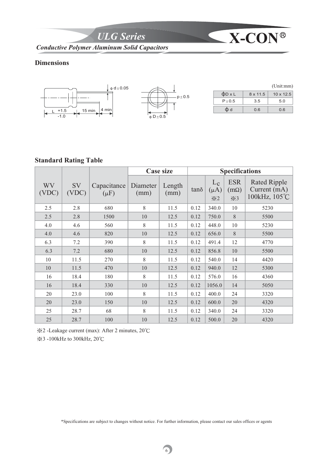*ULG Series* **X-CON**

*Conductive Polymer Aluminum Solid Capacitors*

## **Dimensions**



#### **Standard Rating Table**

|             |             |                          |                  | <b>Case size</b> | <b>Specifications</b> |                                                |                                                 |                                                      |
|-------------|-------------|--------------------------|------------------|------------------|-----------------------|------------------------------------------------|-------------------------------------------------|------------------------------------------------------|
| WV<br>(VDC) | SV<br>(VDC) | Capacitance<br>$(\mu F)$ | Diameter<br>(mm) | Length<br>(mm)   | tano                  | $L_{\rm c}$<br>$(\mu A)$<br>$\divideontimes 2$ | <b>ESR</b><br>$(m\Omega)$<br>$\divideontimes$ 3 | <b>Rated Ripple</b><br>Current (mA)<br>100kHz, 105°C |
| 2.5         | 2.8         | 680                      | 8                | 11.5             | 0.12                  | 340.0                                          | 10                                              | 5230                                                 |
| 2.5         | 2.8         | 1500                     | $10\,$           | 12.5             | 0.12                  | 750.0                                          | $\, 8$                                          | 5500                                                 |
| 4.0         | 4.6         | 560                      | 8                | 11.5             | 0.12                  | 448.0                                          | 10                                              | 5230                                                 |
| 4.0         | 4.6         | 820                      | 10               | 12.5             | 0.12                  | 656.0                                          | 8                                               | 5500                                                 |
| 6.3         | 7.2         | 390                      | 8                | 11.5             | 0.12                  | 491.4                                          | 12                                              | 4770                                                 |
| 6.3         | 7.2         | 680                      | $10\,$           | 12.5             | 0.12                  | 856.8                                          | 10                                              | 5500                                                 |
| 10          | 11.5        | 270                      | 8                | 11.5             | 0.12                  | 540.0                                          | 14                                              | 4420                                                 |
| 10          | 11.5        | 470                      | 10               | 12.5             | 0.12                  | 940.0                                          | 12                                              | 5300                                                 |
| 16          | 18.4        | 180                      | 8                | 11.5             | 0.12                  | 576.0                                          | 16                                              | 4360                                                 |
| 16          | 18.4        | 330                      | 10               | 12.5             | 0.12                  | 1056.0                                         | 14                                              | 5050                                                 |
| 20          | 23.0        | 100                      | 8                | 11.5             | 0.12                  | 400.0                                          | 24                                              | 3320                                                 |
| 20          | 23.0        | 150                      | 10               | 12.5             | 0.12                  | 600.0                                          | 20                                              | 4320                                                 |
| 25          | 28.7        | 68                       | 8                | 11.5             | 0.12                  | 340.0                                          | 24                                              | 3320                                                 |
| 25          | 28.7        | 100                      | $10\,$           | 12.5             | 0.12                  | 500.0                                          | 20                                              | 4320                                                 |

Ɂ2 -Leakage current (max): After 2 minutes, 20ʚ

<del>⊗3</del> -100kHz to 300kHz, 20℃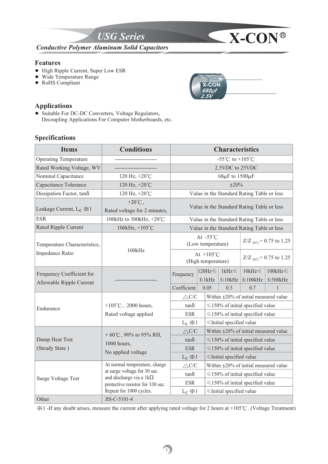

#### **Features**

- High Ripple Current, Super Low ESR
- Wide Temperature Range
- RoHS Compliant

# **Applications**

 $\bullet$  Suitable For DC-DC Converters, Voltage Regulators, Decoupling Applications For Computer Motherboards, etc.

## **Specifications**

| <b>Items</b>                                          | <b>Conditions</b>                                | <b>Characteristics</b>                     |                                         |                                                                                       |                                            |                                    |  |
|-------------------------------------------------------|--------------------------------------------------|--------------------------------------------|-----------------------------------------|---------------------------------------------------------------------------------------|--------------------------------------------|------------------------------------|--|
| <b>Operating Temperature</b>                          |                                                  |                                            |                                         | -55°C to +105°C                                                                       |                                            |                                    |  |
| Rated Working Voltage, WV                             |                                                  |                                            |                                         | 2.5VDC to 25VDC                                                                       |                                            |                                    |  |
| Nominal Capacitance                                   | 120 Hz, $+20^{\circ}$ C                          |                                            |                                         | $68\mu$ F to $1500\mu$ F                                                              |                                            |                                    |  |
| Capacitance Tolerance                                 | 120 Hz, +20°C                                    |                                            |                                         | $\pm 20\%$                                                                            |                                            |                                    |  |
| Dissipation Factor, tanos                             | 120 Hz, +20°C                                    |                                            |                                         |                                                                                       | Value in the Standard Rating Table or less |                                    |  |
| Leakage Current, L <sub>c</sub> $\frac{1}{2}$ 1       | $+20^{\circ}$ C,<br>Rated voltage for 2 minutes, |                                            |                                         |                                                                                       | Value in the Standard Rating Table or less |                                    |  |
| <b>ESR</b>                                            | 100kHz to 300kHz, +20°C                          | Value in the Standard Rating Table or less |                                         |                                                                                       |                                            |                                    |  |
| Rated Ripple Current                                  | 100kHz, +105°C                                   |                                            |                                         |                                                                                       | Value in the Standard Rating Table or less |                                    |  |
| Temperature Characteristics,                          |                                                  |                                            | At $-55^{\circ}$ C<br>(Low temperature) |                                                                                       |                                            | $Z/Z_{20\degree C} = 0.75$ to 1.25 |  |
| Impedance Ratio                                       | 100kHz                                           | At $+105^{\circ}$ C<br>(High temperature)  |                                         |                                                                                       | $Z/Z_{20^{\circ}C} = 0.75$ to 1.25         |                                    |  |
| Frequency Coefficient for<br>Allowable Ripple Current |                                                  | Frequency                                  | $120Hz \leq$<br>f<1kHz                  | $1kHz \leq$<br>$f<10$ k $Hz$                                                          | $10kHz \leq$<br>$f<100$ kHz                | $100kHz \leq$<br>f<500kHz          |  |
|                                                       |                                                  | Coefficient                                | 0.05                                    | 0.3                                                                                   | 0.7                                        | $\mathbf{1}$                       |  |
|                                                       |                                                  | $\triangle$ C/C                            |                                         | Within $\pm 20\%$ of initial measured value                                           |                                            |                                    |  |
| Endurance                                             | +105 $°C$ , 2000 hours,                          | $tan\delta$                                |                                         | $\leq$ 150% of initial specified value                                                |                                            |                                    |  |
|                                                       | Rated voltage applied                            | <b>ESR</b>                                 |                                         | $\leq$ 150% of initial specified value<br>≤Initial specified value                    |                                            |                                    |  |
|                                                       |                                                  | $L_c \gg 1$                                |                                         |                                                                                       |                                            |                                    |  |
|                                                       | + $60^{\circ}$ C, $90\%$ to $95\%$ RH,           | $\triangle$ C/C                            |                                         | Within ±20% of initial measured value<br>$\leq$ 150% of initial specified value       |                                            |                                    |  |
| Damp Heat Test                                        | 1000 hours,                                      | tano                                       |                                         |                                                                                       |                                            |                                    |  |
| (Steady State)                                        | No applied voltage                               | <b>ESR</b>                                 |                                         |                                                                                       | $\leq$ 150% of initial specified value     |                                    |  |
|                                                       | At normal temperature, charge                    | $L_c \gg 1$                                |                                         | ≤Initial specified value                                                              |                                            |                                    |  |
|                                                       | at surge voltage for 30 sec.                     | $\triangle$ C/C                            |                                         | Within $\pm 20\%$ of initial measured value<br>$\leq$ 150% of initial specified value |                                            |                                    |  |
| <b>Surge Voltage Test</b>                             | and discharge via a $1k\Omega$                   | tano                                       |                                         |                                                                                       |                                            |                                    |  |
|                                                       | protective resistor for 330 sec.                 | <b>ESR</b>                                 |                                         |                                                                                       | $\leq$ 150% of initial specified value     |                                    |  |
| Other                                                 | Repeat for 1000 cycles.<br>JIS-C-5101-4          | $L_c \gg 1$                                |                                         | ≤Initial specified value                                                              |                                            |                                    |  |

Ɂ1 -If any doubt arises, measure the current after applying rated voltage for 2 hours at +105ʚ. (Voltage Treatment)

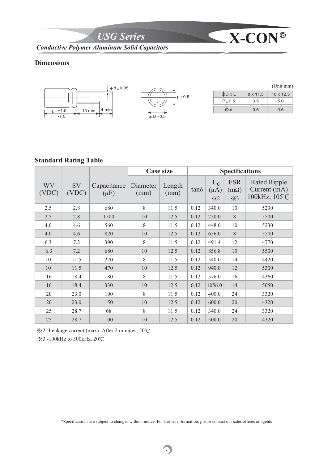*USG Series* **X-CON**

*Conductive Polymer Aluminum Solid Capacitors*

## **Dimensions**



# **Standard Rating Table**

|             |             |                          |                  | <b>Case size</b> |      |                                          | <b>Specifications</b>                           |                                                        |
|-------------|-------------|--------------------------|------------------|------------------|------|------------------------------------------|-------------------------------------------------|--------------------------------------------------------|
| WV<br>(VDC) | SV<br>(VDC) | Capacitance<br>$(\mu F)$ | Diameter<br>(mm) | Length<br>(mm)   | tano | $L_c$<br>$(\mu A)$<br>$\divideontimes 2$ | <b>ESR</b><br>$(m\Omega)$<br>$\divideontimes$ 3 | <b>Rated Ripple</b><br>Current $(mA)$<br>100kHz, 105°C |
| 2.5         | 2.8         | 680                      | 8                | 11.5             | 0.12 | 340.0                                    | 10                                              | 5230                                                   |
| 2.5         | 2.8         | 1500                     | 10               | 12.5             | 0.12 | 750.0                                    | $\,8\,$                                         | 5500                                                   |
| 4.0         | 4.6         | 560                      | 8                | 11.5             | 0.12 | 448.0                                    | 10                                              | 5230                                                   |
| 4.0         | 4.6         | 820                      | $10\,$           | 12.5             | 0.12 | 656.0                                    | 8                                               | 5500                                                   |
| 6.3         | 7.2         | 390                      | 8                | 11.5             | 0.12 | 491.4                                    | 12                                              | 4770                                                   |
| 6.3         | 7.2         | 680                      | 10               | 12.5             | 0.12 | 856.8                                    | $10\,$                                          | 5500                                                   |
| 10          | 11.5        | 270                      | 8                | 11.5             | 0.12 | 540.0                                    | 14                                              | 4420                                                   |
| 10          | 11.5        | 470                      | 10               | 12.5             | 0.12 | 940.0                                    | 12                                              | 5300                                                   |
| 16          | 18.4        | 180                      | 8                | 11.5             | 0.12 | 576.0                                    | 16                                              | 4360                                                   |
| 16          | 18.4        | 330                      | 10               | 12.5             | 0.12 | 1056.0                                   | 14                                              | 5050                                                   |
| 20          | 23.0        | 100                      | 8                | 11.5             | 0.12 | 400.0                                    | 24                                              | 3320                                                   |
| 20          | 23.0        | 150                      | 10               | 12.5             | 0.12 | 600.0                                    | 20                                              | 4320                                                   |
| 25          | 28.7        | 68                       | 8                | 11.5             | 0.12 | 340.0                                    | 24                                              | 3320                                                   |
| 25          | 28.7        | 100                      | 10               | 12.5             | 0.12 | 500.0                                    | 20                                              | 4320                                                   |

Ɂ2 -Leakage current (max): After 2 minutes, 20ʚ

<del>⊗3</del> -100kHz to 300kHz, 20℃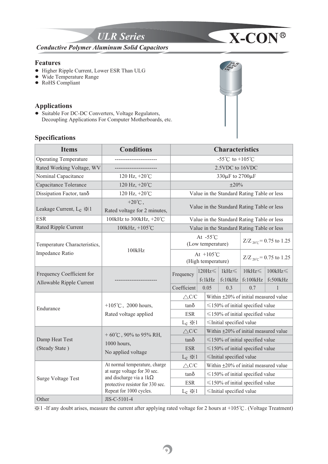

#### **Features**

- ! Higher Ripple Current, Lower ESR Than ULG
- Wide Temperature Range
- $\bullet$  RoHS Compliant

#### **Applications**

• Suitable For DC-DC Converters, Voltage Regulators, Decoupling Applications For Computer Motherboards, etc.

#### **Specifications**



**ULR 2.5V 560 VK**

 $\frac{1}{2}$  -If any doubt arises, measure the current after applying rated voltage for 2 hours at +105 $\degree$ C. (Voltage Treatment)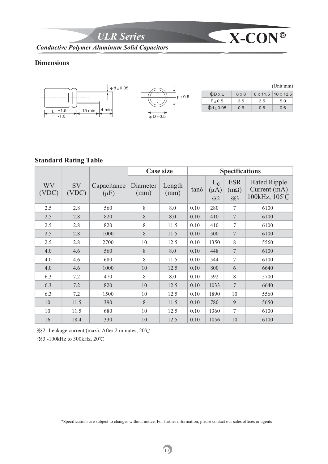**ULR Series X-CON**<sup>®</sup>

*Conductive Polymer Aluminum Solid Capacitors*

## **Dimensions**



# **Standard Rating Table**

|             |             |                          |                  | <b>Case size</b> |      |                                          | <b>Specifications</b>                           |                                                        |
|-------------|-------------|--------------------------|------------------|------------------|------|------------------------------------------|-------------------------------------------------|--------------------------------------------------------|
| WV<br>(VDC) | SV<br>(VDC) | Capacitance<br>$(\mu F)$ | Diameter<br>(mm) | Length<br>(mm)   | tand | $L_c$<br>$(\mu A)$<br>$\divideontimes 2$ | <b>ESR</b><br>$(m\Omega)$<br>$\divideontimes$ 3 | <b>Rated Ripple</b><br>Current $(mA)$<br>100kHz, 105°C |
| 2.5         | 2.8         | 560                      | $8\,$            | 8.0              | 0.10 | 280                                      | $\tau$                                          | 6100                                                   |
| 2.5         | 2.8         | 820                      | 8                | 8.0              | 0.10 | 410                                      | $\overline{7}$                                  | 6100                                                   |
| 2.5         | 2.8         | 820                      | 8                | 11.5             | 0.10 | 410                                      | $\tau$                                          | 6100                                                   |
| 2.5         | 2.8         | 1000                     | 8                | 11.5             | 0.10 | 500                                      | $\overline{7}$                                  | 6100                                                   |
| 2.5         | 2.8         | 2700                     | 10               | 12.5             | 0.10 | 1350                                     | $\,$ 8 $\,$                                     | 5560                                                   |
| 4.0         | 4.6         | 560                      | 8                | 8.0              | 0.10 | 448                                      | $\overline{7}$                                  | 6100                                                   |
| 4.0         | 4.6         | 680                      | 8                | 11.5             | 0.10 | 544                                      | $\overline{7}$                                  | 6100                                                   |
| 4.0         | 4.6         | 1000                     | 10               | 12.5             | 0.10 | 800                                      | 6                                               | 6640                                                   |
| 6.3         | 7.2         | 470                      | 8                | 8.0              | 0.10 | 592                                      | $8\,$                                           | 5700                                                   |
| 6.3         | 7.2         | 820                      | 10               | 12.5             | 0.10 | 1033                                     | $7\phantom{.0}$                                 | 6640                                                   |
| 6.3         | 7.2         | 1500                     | 10               | 12.5             | 0.10 | 1890                                     | 10                                              | 5560                                                   |
| 10          | 11.5        | 390                      | 8                | 11.5             | 0.10 | 780                                      | 9                                               | 5650                                                   |
| 10          | 11.5        | 680                      | 10               | 12.5             | 0.10 | 1360                                     | $\tau$                                          | 6100                                                   |
| 16          | 18.4        | 330                      | 10               | 12.5             | 0.10 | 1056                                     | 10                                              | 6100                                                   |

Ɂ2 -Leakage current (max): After 2 minutes, 20ʚ

<del>⊗3</del> -100kHz to 300kHz, 20℃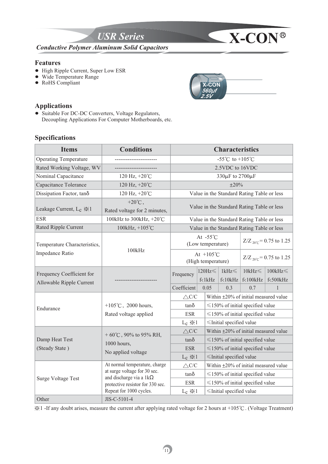

#### **Features**

- High Ripple Current, Super Low ESR
- Wide Temperature Range
- RoHS Compliant

# **Applications**

 $\bullet$  Suitable For DC-DC Converters, Voltage Regulators, Decoupling Applications For Computer Motherboards, etc.

## **Specifications**

| <b>Items</b>                                          | <b>Conditions</b>                                              | <b>Characteristics</b>                     |                                         |                                             |                                             |                           |  |
|-------------------------------------------------------|----------------------------------------------------------------|--------------------------------------------|-----------------------------------------|---------------------------------------------|---------------------------------------------|---------------------------|--|
| <b>Operating Temperature</b>                          |                                                                |                                            |                                         | -55°C to +105°C                             |                                             |                           |  |
| Rated Working Voltage, WV                             |                                                                |                                            |                                         | 2.5VDC to 16VDC                             |                                             |                           |  |
| Nominal Capacitance                                   | 120 Hz, $+20^{\circ}$ C                                        |                                            |                                         | 330µF to 2700µF                             |                                             |                           |  |
| Capacitance Tolerance                                 | 120 Hz, +20°C                                                  |                                            |                                         | $\pm 20\%$                                  |                                             |                           |  |
| Dissipation Factor, tanos                             | 120 Hz, +20°C                                                  |                                            |                                         |                                             | Value in the Standard Rating Table or less  |                           |  |
| Leakage Current, L <sub>c</sub> $\frac{1}{2}$ 1       | $+20^{\circ}$ C,<br>Rated voltage for 2 minutes,               | Value in the Standard Rating Table or less |                                         |                                             |                                             |                           |  |
| <b>ESR</b>                                            | 100kHz to 300kHz, +20°C                                        | Value in the Standard Rating Table or less |                                         |                                             |                                             |                           |  |
| Rated Ripple Current                                  | 100kHz, +105°C                                                 |                                            |                                         |                                             | Value in the Standard Rating Table or less  |                           |  |
| Temperature Characteristics,                          | 100kHz                                                         |                                            | At $-55^{\circ}$ C<br>(Low temperature) |                                             | $Z/Z_{20^{\circ}C} = 0.75$ to 1.25          |                           |  |
| Impedance Ratio                                       |                                                                | At $+105^{\circ}$ C<br>(High temperature)  |                                         |                                             | $Z/Z_{20\degree C} = 0.75$ to 1.25          |                           |  |
| Frequency Coefficient for<br>Allowable Ripple Current |                                                                | Frequency                                  | $120$ Hz $\leq$<br>f<1kHz               | $1kHz \leq$<br>$f<10$ k $Hz$                | $10kHz \leq$<br>f<100kHz                    | $100kHz \leq$<br>f<500kHz |  |
|                                                       |                                                                | Coefficient                                | 0.05                                    | 0.3                                         | 0.7                                         | 1                         |  |
|                                                       |                                                                | $\triangle$ C/C                            |                                         | Within $\pm 20\%$ of initial measured value |                                             |                           |  |
| Endurance                                             | +105 $°C$ , 2000 hours,                                        | $tan\delta$                                |                                         | $\leq$ 150% of initial specified value      |                                             |                           |  |
|                                                       | Rated voltage applied                                          | <b>ESR</b>                                 |                                         | $\leq$ 150% of initial specified value      |                                             |                           |  |
|                                                       |                                                                | $L_c \gg 1$                                |                                         | ≤Initial specified value                    |                                             |                           |  |
|                                                       | + $60^{\circ}$ C, $90\%$ to $95\%$ RH,                         | $\triangle$ C/C                            |                                         |                                             | Within $\pm 20\%$ of initial measured value |                           |  |
| Damp Heat Test                                        | 1000 hours,                                                    | tano                                       |                                         | $\leq$ 150% of initial specified value      |                                             |                           |  |
| (Steady State)                                        | No applied voltage                                             | <b>ESR</b>                                 |                                         | $\leq$ 150% of initial specified value      |                                             |                           |  |
|                                                       |                                                                | $L_c \gg 1$                                |                                         | ≤Initial specified value                    |                                             |                           |  |
|                                                       | At normal temperature, charge                                  | $\triangle$ C/C                            |                                         |                                             | Within $\pm 20\%$ of initial measured value |                           |  |
| <b>Surge Voltage Test</b>                             | at surge voltage for 30 sec.<br>and discharge via a $1k\Omega$ | tano                                       |                                         |                                             | $\leq$ 150% of initial specified value      |                           |  |
|                                                       | protective resistor for 330 sec.                               | <b>ESR</b>                                 |                                         |                                             | $\leq$ 150% of initial specified value      |                           |  |
|                                                       | Repeat for 1000 cycles.                                        | $L_c \gg 1$                                |                                         | ≤Initial specified value                    |                                             |                           |  |
| Other                                                 | JIS-C-5101-4                                                   |                                            |                                         |                                             |                                             |                           |  |

Ɂ1 -If any doubt arises, measure the current after applying rated voltage for 2 hours at +105ʚ. (Voltage Treatment)

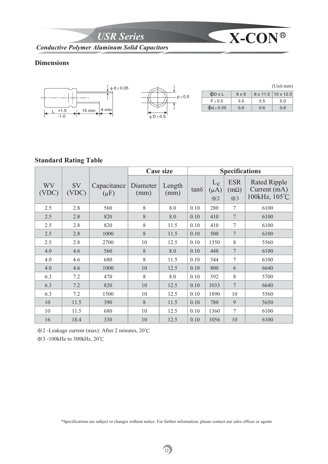**USR Series X-CON**<sup>®</sup>

*Conductive Polymer Aluminum Solid Capacitors*

## **Dimensions**



#### **Standard Rating Table**

|             |             |                          |                  | <b>Case size</b> | <b>Specifications</b> |                                                |                                                 |                                                      |
|-------------|-------------|--------------------------|------------------|------------------|-----------------------|------------------------------------------------|-------------------------------------------------|------------------------------------------------------|
| WV<br>(VDC) | SV<br>(VDC) | Capacitance<br>$(\mu F)$ | Diameter<br>(mm) | Length<br>(mm)   | tand                  | $L_{\rm c}$<br>$(\mu A)$<br>$\divideontimes 2$ | <b>ESR</b><br>$(m\Omega)$<br>$\divideontimes$ 3 | <b>Rated Ripple</b><br>Current (mA)<br>100kHz, 105°C |
| 2.5         | 2.8         | 560                      | 8                | 8.0              | 0.10                  | 280                                            | $\tau$                                          | 6100                                                 |
| 2.5         | 2.8         | 820                      | $8\,$            | 8.0              | 0.10                  | 410                                            | $\boldsymbol{7}$                                | 6100                                                 |
| 2.5         | 2.8         | 820                      | 8                | 11.5             | 0.10                  | 410                                            | $\tau$                                          | 6100                                                 |
| 2.5         | 2.8         | 1000                     | 8                | 11.5             | 0.10                  | 500                                            | $\overline{7}$                                  | 6100                                                 |
| 2.5         | 2.8         | 2700                     | 10               | 12.5             | 0.10                  | 1350                                           | $\,$ 8 $\,$                                     | 5560                                                 |
| 4.0         | 4.6         | 560                      | 8                | 8.0              | 0.10                  | 448                                            | $\overline{7}$                                  | 6100                                                 |
| 4.0         | 4.6         | 680                      | 8                | 11.5             | 0.10                  | 544                                            | $\tau$                                          | 6100                                                 |
| 4.0         | 4.6         | 1000                     | 10               | 12.5             | 0.10                  | 800                                            | 6                                               | 6640                                                 |
| 6.3         | 7.2         | 470                      | 8                | 8.0              | 0.10                  | 592                                            | $8\,$                                           | 5700                                                 |
| 6.3         | 7.2         | 820                      | 10               | 12.5             | 0.10                  | 1033                                           | $\overline{7}$                                  | 6640                                                 |
| 6.3         | 7.2         | 1500                     | 10               | 12.5             | 0.10                  | 1890                                           | 10                                              | 5560                                                 |
| 10          | 11.5        | 390                      | 8                | 11.5             | 0.10                  | 780                                            | 9                                               | 5650                                                 |
| 10          | 11.5        | 680                      | 10               | 12.5             | 0.10                  | 1360                                           | $\tau$                                          | 6100                                                 |
| 16          | 18.4        | 330                      | $10\,$           | 12.5             | 0.10                  | 1056                                           | 10                                              | 6100                                                 |

Ɂ2 -Leakage current (max): After 2 minutes, 20ʚ

<del>⊗3</del> -100kHz to 300kHz, 20℃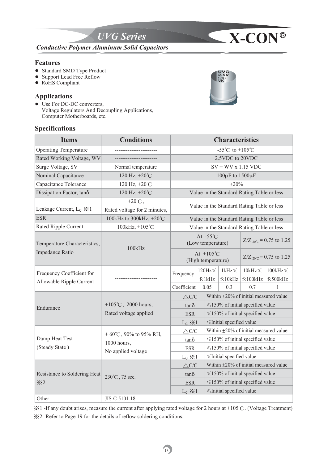

#### **Features**

- Standard SMD Type Product
- Support Lead Free Reflow
- RoHS Compliant

#### **Applications**

• Use For DC-DC converters, Voltage Regulators And Decoupling Applications, Computer Motherboards, etc.

## **Specifications**

| <b>Items</b>                                          | <b>Conditions</b>                                | <b>Characteristics</b>                     |                                         |                                        |                                            |                           |  |
|-------------------------------------------------------|--------------------------------------------------|--------------------------------------------|-----------------------------------------|----------------------------------------|--------------------------------------------|---------------------------|--|
| <b>Operating Temperature</b>                          |                                                  |                                            |                                         | -55°C to +105°C                        |                                            |                           |  |
| Rated Working Voltage, WV                             |                                                  |                                            |                                         | 2.5VDC to 20VDC                        |                                            |                           |  |
| Surge Voltage, SV                                     | Normal temperature                               |                                            |                                         | $SV = WV x 1.15 VDC$                   |                                            |                           |  |
| Nominal Capacitance                                   | 120 Hz, +20°C                                    |                                            |                                         | 100 $\mu$ F to 1500 $\mu$ F            |                                            |                           |  |
| Capacitance Tolerance                                 | 120 Hz, +20°C                                    |                                            |                                         | $\pm 20\%$                             |                                            |                           |  |
| Dissipation Factor, tanô                              | 120 Hz, +20°C                                    |                                            |                                         |                                        | Value in the Standard Rating Table or less |                           |  |
| Leakage Current, L <sub>c</sub> $\frac{1}{2}$ 1       | $+20^{\circ}$ C,<br>Rated voltage for 2 minutes, | Value in the Standard Rating Table or less |                                         |                                        |                                            |                           |  |
| <b>ESR</b>                                            | 100kHz to 300kHz, +20°C                          | Value in the Standard Rating Table or less |                                         |                                        |                                            |                           |  |
| Rated Ripple Current                                  | 100kHz, +105°C                                   |                                            |                                         |                                        | Value in the Standard Rating Table or less |                           |  |
| Temperature Characteristics,                          | 100kHz                                           |                                            | At $-55^{\circ}$ C<br>(Low temperature) |                                        | $Z/Z_{20^{\circ}C} = 0.75$ to 1.25         |                           |  |
| Impedance Ratio                                       |                                                  | At $+105^{\circ}$ C<br>(High temperature)  |                                         |                                        | $Z/Z_{20^{\circ}C} = 0.75$ to 1.25         |                           |  |
| Frequency Coefficient for<br>Allowable Ripple Current | -----------------                                | Frequency                                  | $120Hz \leq$<br>f<1kHz                  | $1kHz\leq$<br>$f<10$ kHz               | $10kHz \leq$<br>$f<100$ k $Hz$             | $100kHz \leq$<br>f<500kHz |  |
|                                                       |                                                  | Coefficient                                | 0.05                                    | 0.3                                    | 0.7                                        | 1                         |  |
|                                                       |                                                  | $\triangle$ C/C                            |                                         | Within ±20% of initial measured value  |                                            |                           |  |
| Endurance                                             | +105 $\degree$ C, 2000 hours,                    | $tan\delta$                                |                                         | $\leq$ 150% of initial specified value |                                            |                           |  |
|                                                       | Rated voltage applied                            | <b>ESR</b>                                 |                                         | $\leq$ 150% of initial specified value |                                            |                           |  |
|                                                       |                                                  | $L_c \gg 1$                                |                                         | $\leq$ Initial specified value         |                                            |                           |  |
|                                                       | + $60^{\circ}$ C, $90\%$ to $95\%$ RH,           | $\triangle C/C$                            |                                         | Within ±20% of initial measured value  |                                            |                           |  |
| Damp Heat Test                                        | 1000 hours.                                      | $tan\delta$                                |                                         |                                        | $\leq$ 150% of initial specified value     |                           |  |
| (Steady State)                                        | No applied voltage                               | <b>ESR</b>                                 |                                         |                                        | $\leq$ 150% of initial specified value     |                           |  |
|                                                       |                                                  | $L_c \gg 1$                                |                                         | $\leq$ Initial specified value         |                                            |                           |  |
|                                                       |                                                  | $\triangle$ C/C                            |                                         | Within ±20% of initial measured value  |                                            |                           |  |
| Resistance to Soldering Heat                          | 230°℃, 75 sec.                                   | $tan\delta$                                |                                         | $\leq$ 150% of initial specified value |                                            |                           |  |
| $\divideontimes$ 2                                    |                                                  | <b>ESR</b>                                 |                                         |                                        | $\leq$ 150% of initial specified value     |                           |  |
|                                                       |                                                  | $L_c \gg 1$                                |                                         | ≤Initial specified value               |                                            |                           |  |
| Other                                                 | JIS-C-5101-18                                    |                                            |                                         |                                        |                                            |                           |  |

Ɂ1 -If any doubt arises, measure the current after applying rated voltage for 2 hours at +105ʚ. (Voltage Treatment) Ɂ2 -Refer to Page 19 for the details of reflow soldering conditions.



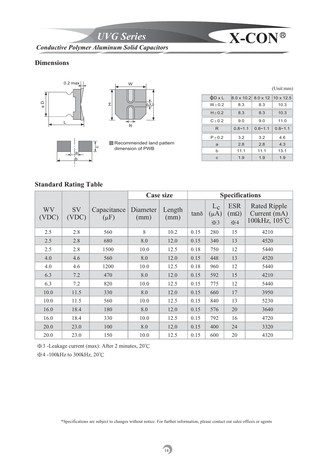*UVG Series* **X-CON** *Conductive Polymer Aluminum Solid Capacitors*

#### **Dimensions**





a b  $\circ$ 

Recommended land pattern dimension of PWB

(Unit:mm)

| $\Phi D \times L$ | $8.0 \times 10.2$ 8.0 x 12 10 x 12.5 |             |             |
|-------------------|--------------------------------------|-------------|-------------|
| $W + 0.2$         | 8.3                                  | 8.3         | 10.3        |
| $H + 0.2$         | 8.3                                  | 8.3         | 10.3        |
| $C + 0.2$         | 9.0                                  | 9.0         | 11.0        |
| R                 | $0.8 - 1.1$                          | $0.8 - 1.1$ | $0.8 - 1.1$ |
| $P + 0.2$         | 3.2                                  | 3.2         | 4.6         |
| a                 | 2.8                                  | 2.8         | 4.3         |
| b                 | 11.1                                 | 11.1        | 13.1        |
| C                 | 1.9                                  | 1.9         | 1.9         |

## **Standard Rating Table**

|             |                    |                          | <b>Case size</b> |                | <b>Specifications</b> |                                                |                                             |                                                      |
|-------------|--------------------|--------------------------|------------------|----------------|-----------------------|------------------------------------------------|---------------------------------------------|------------------------------------------------------|
| WV<br>(VDC) | <b>SV</b><br>(VDC) | Capacitance<br>$(\mu F)$ | Diameter<br>(mm) | Length<br>(mm) | tano                  | $L_{\rm c}$<br>$(\mu A)$<br>$\divideontimes$ 3 | <b>ESR</b><br>$(m\Omega)$<br>$\frac{1}{2}4$ | <b>Rated Ripple</b><br>Current (mA)<br>100kHz, 105°C |
| 2.5         | 2.8                | 560                      | 8                | 10.2           | 0.15                  | 280                                            | 15                                          | 4210                                                 |
| 2.5         | 2.8                | 680                      | 8.0              | 12.0           | 0.15                  | 340                                            | 13                                          | 4520                                                 |
| 2.5         | 2.8                | 1500                     | 10.0             | 12.5           | 0.18                  | 750                                            | 12                                          | 5440                                                 |
| 4.0         | 4.6                | 560                      | 8.0              | 12.0           | 0.15                  | 448                                            | 13                                          | 4520                                                 |
| 4.0         | 4.6                | 1200                     | 10.0             | 12.5           | 0.18                  | 960                                            | 12                                          | 5440                                                 |
| 6.3         | 7.2                | 470                      | 8.0              | 12.0           | 0.15                  | 592                                            | 15                                          | 4210                                                 |
| 6.3         | 7.2                | 820                      | 10.0             | 12.5           | 0.15                  | 775                                            | 12                                          | 5440                                                 |
| 10.0        | 11.5               | 330                      | 8.0              | 12.0           | 0.15                  | 660                                            | 17                                          | 3950                                                 |
| 10.0        | 11.5               | 560                      | 10.0             | 12.5           | 0.15                  | 840                                            | 13                                          | 5230                                                 |
| 16.0        | 18.4               | 180                      | 8.0              | 12.0           | 0.15                  | 576                                            | 20                                          | 3640                                                 |
| 16.0        | 18.4               | 330                      | 10.0             | 12.5           | 0.15                  | 792                                            | 16                                          | 4720                                                 |
| 20.0        | 23.0               | 100                      | 8.0              | 12.0           | 0.15                  | 400                                            | 24                                          | 3320                                                 |
| 20.0        | 23.0               | 150                      | 10.0             | 12.5           | 0.15                  | 600                                            | 20                                          | 4320                                                 |

Ɂ3 -Leakage current (max): After 2 minutes, 20ʚ

<del></del><del>≱</del>4 -100kHz to 300kHz, 20℃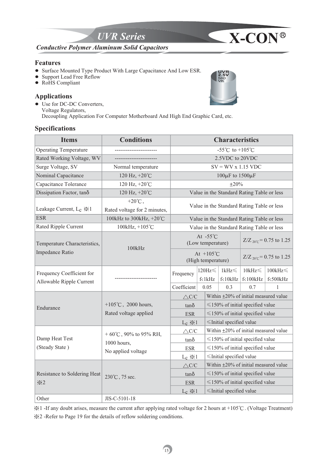

#### **Features**

- ! Surface Mounted Type Product With Large Capacitance And Low ESR.
- Support Lead Free Reflow
- RoHS Compliant

#### **Applications**

 $\bullet$  Use for DC-DC Converters, Voltage Regulators, Decoupling Application For Computer Motherboard And High End Graphic Card, etc.

## **Specifications**

| <b>Items</b>                 | <b>Conditions</b>                                |                                            |                                           | <b>Characteristics</b>                      |                                            |                                    |  |  |
|------------------------------|--------------------------------------------------|--------------------------------------------|-------------------------------------------|---------------------------------------------|--------------------------------------------|------------------------------------|--|--|
| <b>Operating Temperature</b> |                                                  |                                            |                                           | -55°C to +105°C                             |                                            |                                    |  |  |
| Rated Working Voltage, WV    |                                                  |                                            |                                           | 2.5VDC to 20VDC                             |                                            |                                    |  |  |
| Surge Voltage, SV            | Normal temperature                               |                                            |                                           | $SV = WV x 1.15 VDC$                        |                                            |                                    |  |  |
| Nominal Capacitance          | 120 Hz, +20°C                                    |                                            |                                           | $100\mu$ F to $1500\mu$ F                   |                                            |                                    |  |  |
| Capacitance Tolerance        | 120 Hz, +20°C                                    |                                            |                                           | $\pm 20\%$                                  |                                            |                                    |  |  |
| Dissipation Factor, tano     | 120 Hz, +20°C                                    | Value in the Standard Rating Table or less |                                           |                                             |                                            |                                    |  |  |
| Leakage Current, $L_c \gg 1$ | $+20^{\circ}$ C,<br>Rated voltage for 2 minutes, | Value in the Standard Rating Table or less |                                           |                                             |                                            |                                    |  |  |
| <b>ESR</b>                   | 100kHz to 300kHz, +20°C                          | Value in the Standard Rating Table or less |                                           |                                             |                                            |                                    |  |  |
| Rated Ripple Current         | 100kHz, +105°C                                   |                                            |                                           |                                             | Value in the Standard Rating Table or less |                                    |  |  |
| Temperature Characteristics, | 100kHz                                           |                                            | At $-55^{\circ}$ C<br>(Low temperature)   |                                             |                                            | $Z/Z_{20^{\circ}C} = 0.75$ to 1.25 |  |  |
| Impedance Ratio              |                                                  |                                            | At $+105^{\circ}$ C<br>(High temperature) |                                             |                                            | $Z/Z_{20^{\circ}C} = 0.75$ to 1.25 |  |  |
| Frequency Coefficient for    |                                                  | Frequency                                  | 120Hz $\leq$                              | $1kHz \leq$                                 | $10kHz \leq$                               | $100{\rm kHz}$                     |  |  |
| Allowable Ripple Current     |                                                  |                                            | f<1kHz                                    | $f<10$ k $Hz$                               | $f<100$ kHz                                | $f<500kHz$                         |  |  |
|                              |                                                  | Coefficient                                | 0.05                                      | 0.3                                         | 0.7                                        | 1                                  |  |  |
|                              |                                                  | $\triangle$ C/C                            |                                           | Within $\pm 20\%$ of initial measured value |                                            |                                    |  |  |
| Endurance                    | +105 $°C$ , 2000 hours,                          | $tan\delta$                                |                                           | $\leq$ 150% of initial specified value      |                                            |                                    |  |  |
|                              | Rated voltage applied                            | <b>ESR</b>                                 |                                           | $\leq$ 150% of initial specified value      |                                            |                                    |  |  |
|                              |                                                  | $L_c \gg 1$                                |                                           | ≤Initial specified value                    |                                            |                                    |  |  |
|                              | + 60°C, 90% to 95% RH,                           | $\triangle$ C/C                            |                                           |                                             | Within ±20% of initial measured value      |                                    |  |  |
| Damp Heat Test               | 1000 hours,                                      | $tan\delta$                                |                                           |                                             | $\leq$ 150% of initial specified value     |                                    |  |  |
| (Steady State)               | No applied voltage                               | <b>ESR</b>                                 |                                           |                                             | $\leq$ 150% of initial specified value     |                                    |  |  |
|                              |                                                  | $L_c \gg 1$                                |                                           | ≤Initial specified value                    |                                            |                                    |  |  |
|                              |                                                  | $\triangle$ C/C                            |                                           | Within ±20% of initial measured value       |                                            |                                    |  |  |
| Resistance to Soldering Heat | 230°C, 75 sec.                                   | $tan\delta$                                |                                           |                                             | $\leq$ 150% of initial specified value     |                                    |  |  |
| $\geqslant 2$                |                                                  | <b>ESR</b>                                 |                                           |                                             | $\leq$ 150% of initial specified value     |                                    |  |  |
|                              |                                                  | $L_c \gg 1$                                |                                           | ≤Initial specified value                    |                                            |                                    |  |  |
| Other                        | JIS-C-5101-18                                    |                                            |                                           |                                             |                                            |                                    |  |  |

Ɂ1 -If any doubt arises, measure the current after applying rated voltage for 2 hours at +105ʚ. (Voltage Treatment) Ɂ2 -Refer to Page 19 for the details of reflow soldering conditions.

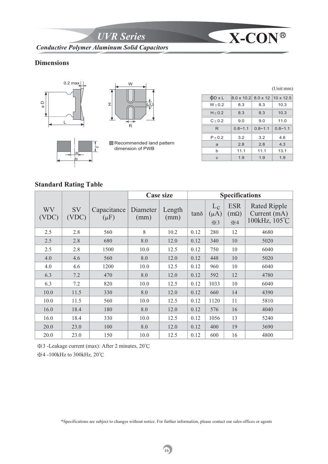*UVR Series* **X-CON** *Conductive Polymer Aluminum Solid Capacitors*

## **Dimensions**





a b  $\circ$ 

Recommended land pattern dimension of PWB

|                   |                                             |             | (Unit:mm)   |
|-------------------|---------------------------------------------|-------------|-------------|
| $\Phi D \times L$ | $8.0 \times 10.2$ $8.0 \times 12$ 10 x 12.5 |             |             |
| $W + 0.2$         | 8.3                                         | 8.3         | 10.3        |
| $H + 0.2$         | 8.3                                         | 8.3         | 10.3        |
| $C + 0.2$         | 9.0                                         | 9.0         | 11.0        |
| R                 | $0.8 - 1.1$                                 | $0.8 - 1.1$ | $0.8 - 1.1$ |
| $P + 0.2$         | 3.2                                         | 3.2         | 4.6         |
| a                 | 2.8                                         | 2.8         | 4.3         |
| b                 | 11.1                                        | 11.1        | 13.1        |
| $\mathbf{C}$      | 1.9                                         | 1.9         | 1.9         |

# **Standard Rating Table**

|             |                    |                          | <b>Case size</b> |                |      | <b>Specifications</b>                          |                                             |                                                      |
|-------------|--------------------|--------------------------|------------------|----------------|------|------------------------------------------------|---------------------------------------------|------------------------------------------------------|
| WV<br>(VDC) | <b>SV</b><br>(VDC) | Capacitance<br>$(\mu F)$ | Diameter<br>(mm) | Length<br>(mm) | tano | $L_{\rm c}$<br>$(\mu A)$<br>$\divideontimes$ 3 | <b>ESR</b><br>$(m\Omega)$<br>$\frac{1}{2}4$ | <b>Rated Ripple</b><br>Current (mA)<br>100kHz, 105°C |
| 2.5         | 2.8                | 560                      | 8                | 10.2           | 0.12 | 280                                            | 12                                          | 4680                                                 |
| 2.5         | 2.8                | 680                      | 8.0              | 12.0           | 0.12 | 340                                            | 10                                          | 5020                                                 |
| 2.5         | 2.8                | 1500                     | 10.0             | 12.5           | 0.12 | 750                                            | 10                                          | 6040                                                 |
| 4.0         | 4.6                | 560                      | 8.0              | 12.0           | 0.12 | 448                                            | 10                                          | 5020                                                 |
| 4.0         | 4.6                | 1200                     | 10.0             | 12.5           | 0.12 | 960                                            | 10                                          | 6040                                                 |
| 6.3         | 7.2                | 470                      | 8.0              | 12.0           | 0.12 | 592                                            | 12                                          | 4780                                                 |
| 6.3         | 7.2                | 820                      | 10.0             | 12.5           | 0.12 | 1033                                           | 10                                          | 6040                                                 |
| 10.0        | 11.5               | 330                      | 8.0              | 12.0           | 0.12 | 660                                            | 14                                          | 4390                                                 |
| 10.0        | 11.5               | 560                      | 10.0             | 12.5           | 0.12 | 1120                                           | 11                                          | 5810                                                 |
| 16.0        | 18.4               | 180                      | 8.0              | 12.0           | 0.12 | 576                                            | 16                                          | 4040                                                 |
| 16.0        | 18.4               | 330                      | 10.0             | 12.5           | 0.12 | 1056                                           | 13                                          | 5240                                                 |
| 20.0        | 23.0               | 100                      | 8.0              | 12.0           | 0.12 | 400                                            | 19                                          | 3690                                                 |
| 20.0        | 23.0               | 150                      | 10.0             | 12.5           | 0.12 | 600                                            | 16                                          | 4800                                                 |

Ɂ3 -Leakage current (max): After 2 minutes, 20ʚ

**※4-100kHz** to 300kHz, 20℃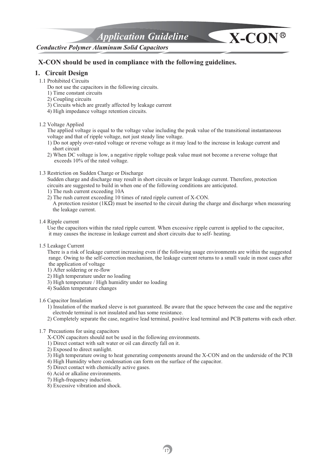*Application Guideline* **X-CON**

#### *Conductive Polymer Aluminum Solid Capacitors*

#### **X-CON should be used in compliance with the following guidelines.**

#### **1. Circuit Design**

1.1 Prohibited Circuits

Do not use the capacitors in the following circuits.

- 1) Time constant circuits
- 2) Coupling circuits
- 3) Circuits which are greatly affected by leakage current
- 4) High impedance voltage retention circuits.

1.2 Voltage Applied

 The applied voltage is equal to the voltage value including the peak value of the transitional instantaneous voltage and that of ripple voltage, not just steady line voltage.

- 1) Do not apply over-rated voltage or reverse voltage as it may lead to the increase in leakage current and short circuit
- 2) When DC voltage is low, a negative ripple voltage peak value must not become a reverse voltage that exceeds 10% of the rated voltage.
- 1.3 Restriction on Sudden Charge or Discharge

 Sudden charge and discharge may result in short circuits or larger leakage current. Therefore, protection circuits are suggested to build in when one of the following conditions are anticipated.

- 1) The rush current exceeding 10A
- 2) The rush current exceeding 10 times of rated ripple current of X-CON.

A protection resistor ( $1K\Omega$ ) must be inserted to the circuit during the charge and discharge when measuring the leakage current.

1.4 Ripple current

 Use the capacitors within the rated ripple current. When excessive ripple current is applied to the capacitor, it may causes the increase in leakage current and short circuits due to self- heating.

1.5 Leakage Current

 There is a risk of leakage current increasing even if the following usage environments are within the suggested range. Owing to the self-correction mechanism, the leakage current returns to a small vaule in most cases after the application of voltage

- 1) After soldering or re-flow
- 2) High temperature under no loading
- 3) High temperature / High humidity under no loading
- 4) Sudden temperature changes

#### 1.6 Capacitor Insulation

 1) Insulation of the marked sleeve is not guaranteed. Be aware that the space between the case and the negative electrode terminal is not insulated and has some resistance.

- 2) Completely separate the case, negative lead terminal, positive lead terminal and PCB patterns with each other.
- 1.7 Precautions for using capacitors
	- X-CON capacitors should not be used in the following environments.
	- 1) Direct contact with salt water or oil can directly fall on it.
	- 2) Exposed to direct sunlight.
	- 3) High temperature owing to heat generating components around the X-CON and on the underside of the PCB
	- 4) High Humidity where condensation can form on the surface of the capacitor.
	- 5) Direct contact with chemically active gases.
	- 6) Acid or alkaline environments.
	- 7) High-frequency induction.
	- 8) Excessive vibration and shock.

17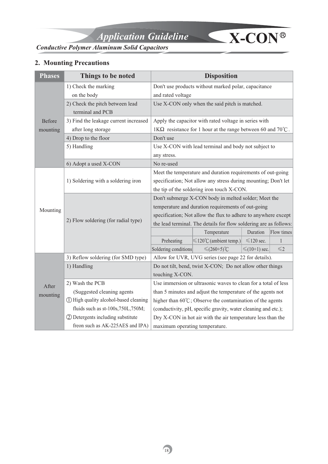

# **2. Mounting Precautions**

| <b>Phases</b> | Things to be noted                     |                                                                   | <b>Disposition</b>                                                  |                    |               |  |  |
|---------------|----------------------------------------|-------------------------------------------------------------------|---------------------------------------------------------------------|--------------------|---------------|--|--|
|               | 1) Check the marking                   |                                                                   | Don't use products without marked polar, capacitance                |                    |               |  |  |
|               | on the body                            | and rated voltage                                                 |                                                                     |                    |               |  |  |
|               | 2) Check the pitch between lead        |                                                                   | Use X-CON only when the said pitch is matched.                      |                    |               |  |  |
|               | terminal and PCB                       |                                                                   |                                                                     |                    |               |  |  |
| Before        | 3) Find the leakage current increased  |                                                                   | Apply the capacitor with rated voltage in series with               |                    |               |  |  |
| mounting      | after long storage                     |                                                                   | 1K $\Omega$ resistance for 1 hour at the range between 60 and 70°C. |                    |               |  |  |
|               | 4) Drop to the floor                   | Don't use                                                         |                                                                     |                    |               |  |  |
|               | 5) Handling                            |                                                                   | Use X-CON with lead terminal and body not subject to                |                    |               |  |  |
|               |                                        | any stress.                                                       |                                                                     |                    |               |  |  |
|               | 6) Adopt a used X-CON                  | No re-used                                                        |                                                                     |                    |               |  |  |
|               |                                        |                                                                   | Meet the temperature and duration requirements of out-going         |                    |               |  |  |
|               | 1) Soldering with a soldering iron     | specification; Not allow any stress during mounting; Don't let    |                                                                     |                    |               |  |  |
|               |                                        | the tip of the soldering iron touch X-CON.                        |                                                                     |                    |               |  |  |
|               |                                        | Don't submerge X-CON body in melted solder; Meet the              |                                                                     |                    |               |  |  |
| Mounting      |                                        | temperature and duration requirements of out-going                |                                                                     |                    |               |  |  |
|               | 2) Flow soldering (for radial type)    | specification; Not allow the flux to adhere to anywhere except    |                                                                     |                    |               |  |  |
|               |                                        | the lead terminal. The details for flow soldering are as follows: |                                                                     |                    |               |  |  |
|               |                                        |                                                                   | Temperature                                                         | Duration           | Flow times    |  |  |
|               |                                        | Preheating                                                        | $\leq 120^{\circ}$ C (ambient temp.)                                | $\leq 120$ sec.    | $\mathbf{1}$  |  |  |
|               |                                        | Soldering conditions                                              | $≤$ (260+5)°C                                                       | $\leq (10+1)$ sec. | $\leqslant$ 2 |  |  |
|               | 3) Reflow soldering (for SMD type)     |                                                                   | Allow for UVR, UVG series (see page 22 for details).                |                    |               |  |  |
|               | 1) Handling                            |                                                                   | Do not tilt, bend, twist X-CON; Do not allow other things           |                    |               |  |  |
|               |                                        | touching X-CON.                                                   |                                                                     |                    |               |  |  |
| After         | 2) Wash the PCB                        | Use immersion or ultrasonic waves to clean for a total of less    |                                                                     |                    |               |  |  |
| mounting      | (Suggested cleaning agents)            |                                                                   | than 5 minutes and adjust the temperature of the agents not         |                    |               |  |  |
|               | 11 High quality alcohol-based cleaning |                                                                   | higher than 60°C; Observe the contamination of the agents           |                    |               |  |  |
|               | fluids such as st-100s,750L,750M;      |                                                                   | (conductivity, pH, specific gravity, water cleaning and etc.);      |                    |               |  |  |
|               | 2 Detergents including substitute      |                                                                   | Dry X-CON in hot air with the air temperature less than the         |                    |               |  |  |
|               | freon such as AK-225AES and IPA)       | maximum operating temperature.                                    |                                                                     |                    |               |  |  |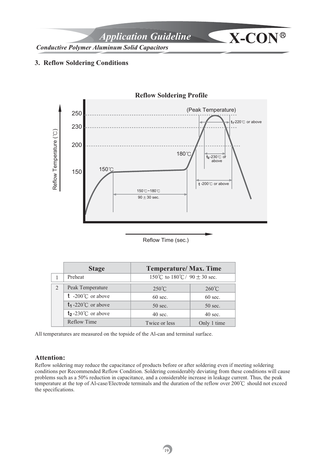*Application Guideline* **X-CON**

*Conductive Polymer Aluminum Solid Capacitors*

#### **3. Reflow Soldering Conditions**



#### Reflow Time (sec.)

|               | <b>Stage</b>                        | <b>Temperature/ Max. Time</b>    |                   |  |  |
|---------------|-------------------------------------|----------------------------------|-------------------|--|--|
|               | Preheat                             | 150°C to 180°C/ 90 $\pm$ 30 sec. |                   |  |  |
| $\mathcal{L}$ | Peak Temperature                    | $250^{\circ}$ C                  | $260^{\circ}$ C   |  |  |
|               | <b>t</b> -200 $^{\circ}$ C or above | $60 \text{ sec.}$                | $60 \text{ sec.}$ |  |  |
|               | $t_1$ -220°C or above               | $50$ sec.                        | $50$ sec.         |  |  |
|               | $t_2$ -230°C or above               | $40 \text{ sec.}$                | $40 \text{ sec.}$ |  |  |
|               | <b>Reflow Time</b>                  | Twice or less                    | Only 1 time       |  |  |

All temperatures are measured on the topside of the Al-can and terminal surface.

#### **Attention:**

Reflow soldering may reduce the capacitance of products before or after soldering even if meeting soldering conditions per Recommended Reflow Condition. Soldering considerably deviating from these conditions will cause problems such as a 50% reduction in capacitance, and a considerable increase in leakage current. Thus, the peak temperature at the top of Al-case/Electrode terminals and the duration of the reflow over  $200^{\circ}$ C should not exceed the specifications.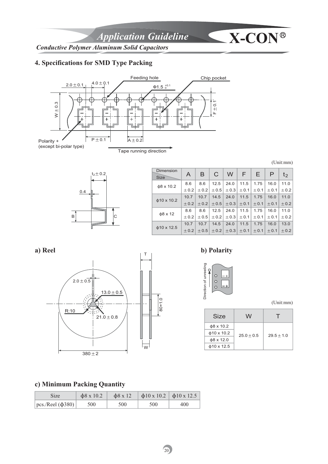# **4. Specifications for SMD Type Packing**



(Unit:mm)



| $_{2}$ $\pm$ 0.2   | <b>Dimension</b><br><b>Size</b> | A      | B         | C                                       | W         | E         | E.        | P            | $t_2$  |
|--------------------|---------------------------------|--------|-----------|-----------------------------------------|-----------|-----------|-----------|--------------|--------|
|                    | $\phi$ 8 x 10.2                 | 8.6    | 8.6       | 12.5                                    | 24.0      | 11.5      | 1.75      | 16.0         | 11.0   |
| ←                  |                                 | $+0.2$ | $+0.2$    | $\pm 0.5$                               | $\pm$ 0.3 | $\pm$ 0.1 | $\pm$ 0.1 | $\pm$ 0.1    | $+0.2$ |
|                    | $\phi$ 10 x 10.2                | 10.7   | 10.7      | 14.5                                    | 24.0      | 11.5      | 1.75      | 16.0         | 11.0   |
|                    |                                 | $+0.2$ |           | $\pm$ 0.2 $\pm$ 0.5 $\pm$ 0.3 $\pm$ 0.1 |           |           | $\pm$ 0.1 | $+0.1$       | $+0.2$ |
| $\phi$ 8 x 12<br>C |                                 | 8.6    | 8.6       | 12.5                                    | 24.0      | 11.5      | 1.75      | 16.0         | 11.0   |
|                    | $+0.2$                          | $+0.5$ | $\pm$ 0.2 | $\pm$ 0.3                               | ± 0.1     | $\pm$ 0.1 | $+0.1$    | $+0.2$       |        |
|                    |                                 | 10.7   | 10.7      | 14.5                                    | 24.0      | 11.5      | 1.75      | 16.0         | 13.0   |
|                    | $\phi$ 10 x 12.5                | $+0.2$ |           | $\pm$ 0.5 $\pm$ 0.2 $\pm$ 0.3 $\pm$ 0.1 |           |           |           | $+0.1$ + 0.1 | $+0.2$ |



## **a) Reel b) Polarity**



(Unit:mm)

| Size             | W            |              |
|------------------|--------------|--------------|
| $\phi$ 8 x 10.2  |              |              |
| $\phi$ 10 x 10.2 | $25.0 + 0.5$ | $29.5 + 1.0$ |
| $\phi$ 8 x 12.0  |              |              |
| $\phi$ 10 x 12.5 |              |              |

# **c) Minimum Packing Quantity**

| Size                    | $\phi$ 8 x 10.2 | $\phi$ 8 x 12 | $\vert$ $\phi$ 10 x 10.2 $\vert$ $\phi$ 10 x 12.5 |     |
|-------------------------|-----------------|---------------|---------------------------------------------------|-----|
| $ pcs/Reel (\phi 380) $ | 500             | 500           | 500                                               | 400 |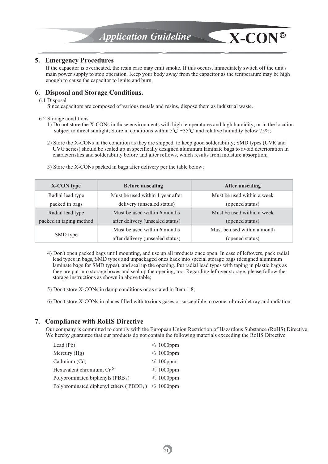#### **5. Emergency Procedures**

If the capacitor is overheated, the resin case may emit smoke. If this occurs, immediately switch off the unit's main power supply to stop operation. Keep your body away from the capacitor as the temperature may be high enough to cause the capacitor to ignite and burn.

#### **6. Disposal and Storage Conditions.**

#### 6.1 Disposal

Since capacitors are composed of various metals and resins, dispose them as industrial waste.

#### 6.2 Storage conditions

- 1) Do not store the X-CONs in those environments with high temperatures and high humidity, or in the location subject to direct sunlight; Store in conditions within  $5^{\circ}C \sim 35^{\circ}C$  and relative humidity below 75%;
- 2) Store the X-CONs in the condition as they are shipped to keep good solderability; SMD types (UVR and UVG series) should be sealed up in specifically designed aluminum laminate bags to avoid deterioration in characteristics and solderability before and after reflows, which results from moisture absorption;

| <b>X-CON</b> type       | <b>Before unsealing</b>          | <b>After unsealing</b>      |
|-------------------------|----------------------------------|-----------------------------|
| Radial lead type        | Must be used within 1 year after | Must be used within a week  |
| packed in bags          | delivery (unsealed status)       | (opened status)             |
| Radial lead type        | Must be used within 6 months     | Must be used within a week  |
| packed in taping method | after delivery (unsealed status) | (opened status)             |
|                         | Must be used within 6 months     | Must be used within a month |
| SMD type                | after delivery (unsealed status) | (opened status)             |

3) Store the X-CONs packed in bags after delivery per the table below;

- 4) Don't open packed bags until mounting, and use up all products once open. In case of leftovers, pack radial lead types in bags, SMD types and unpackaged ones back into special storage bags (designed aluminum laminate bags for SMD types), and seal up the opening. Put radial lead types with taping in plastic bags as they are put into storage boxes and seal up the opening, too. Regarding leftover storage, please follow the storage instructions as shown in above table;
- 5) Don't store X-CONs in damp conditions or as stated in Item 1.8;
- 6) Don't store X-CONs in places filled with toxious gases or susceptible to ozone, ultraviolet ray and radiation.

#### **7. Compliance with RoHS Directive**

Our company is committed to comply with the European Union Restriction of Hazardous Substance (RoHS) Directive We hereby guarantee that our products do not contain the following materials exceeding the RoHS Directive

| Lead (Pb)                                           | $\leq 1000$ ppm     |
|-----------------------------------------------------|---------------------|
| Mercury (Hg)                                        | $\leqslant$ 1000ppm |
| Cadmium (Cd)                                        | $\leqslant$ 100ppm  |
| Hexavalent chromium, Cr <sup>6+</sup>               | $\leqslant$ 1000ppm |
| Polybrominated biphenyls (PBB <sub>s</sub> )        | $\leqslant$ 1000ppm |
| Polybrominated diphenyl ethers (PBDE <sub>s</sub> ) | $\leqslant$ 1000ppm |